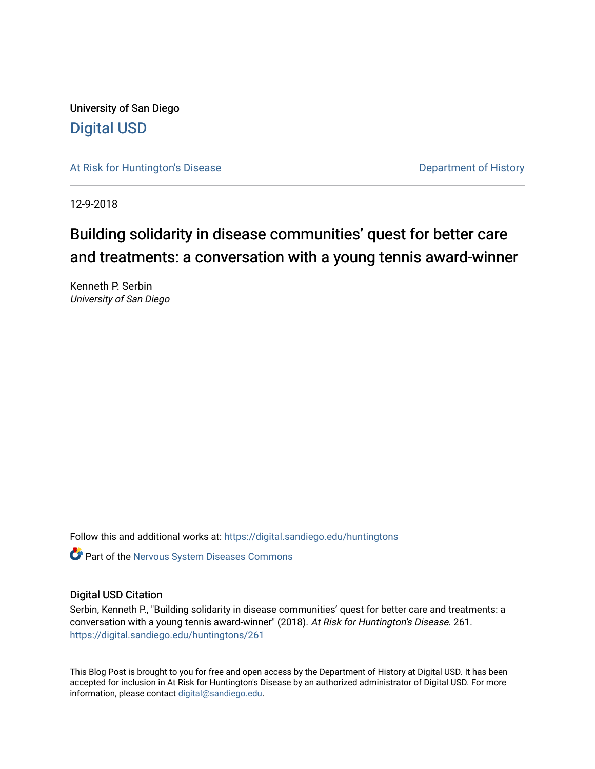University of San Diego [Digital USD](https://digital.sandiego.edu/)

[At Risk for Huntington's Disease](https://digital.sandiego.edu/huntingtons) **Department of History** Department of History

12-9-2018

# Building solidarity in disease communities' quest for better care and treatments: a conversation with a young tennis award-winner

Kenneth P. Serbin University of San Diego

Follow this and additional works at: [https://digital.sandiego.edu/huntingtons](https://digital.sandiego.edu/huntingtons?utm_source=digital.sandiego.edu%2Fhuntingtons%2F261&utm_medium=PDF&utm_campaign=PDFCoverPages)

**C** Part of the [Nervous System Diseases Commons](http://network.bepress.com/hgg/discipline/928?utm_source=digital.sandiego.edu%2Fhuntingtons%2F261&utm_medium=PDF&utm_campaign=PDFCoverPages)

# Digital USD Citation

Serbin, Kenneth P., "Building solidarity in disease communities' quest for better care and treatments: a conversation with a young tennis award-winner" (2018). At Risk for Huntington's Disease. 261. [https://digital.sandiego.edu/huntingtons/261](https://digital.sandiego.edu/huntingtons/261?utm_source=digital.sandiego.edu%2Fhuntingtons%2F261&utm_medium=PDF&utm_campaign=PDFCoverPages)

This Blog Post is brought to you for free and open access by the Department of History at Digital USD. It has been accepted for inclusion in At Risk for Huntington's Disease by an authorized administrator of Digital USD. For more information, please contact [digital@sandiego.edu.](mailto:digital@sandiego.edu)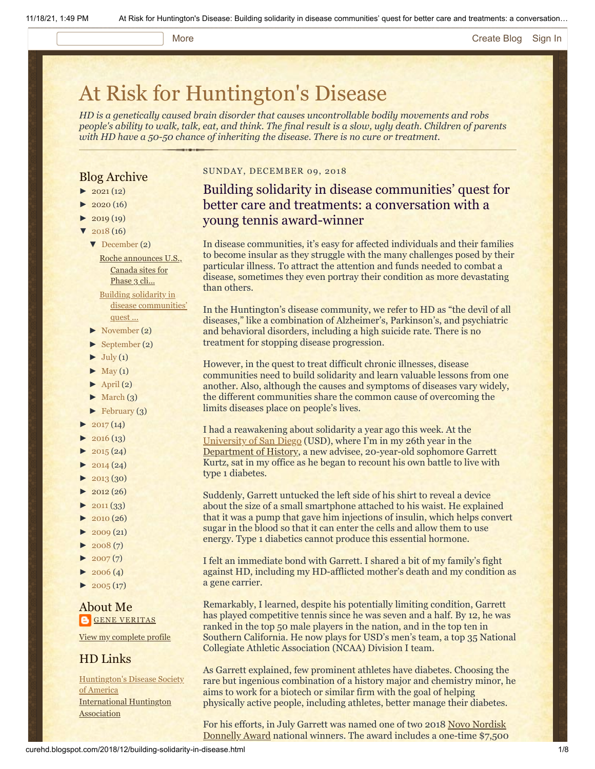#### More **[Create Blog](https://www.blogger.com/home#create) [Sign In](https://www.blogger.com/)**

# [At Risk for Huntington's Disease](http://curehd.blogspot.com/)

*HD is a genetically caused brain disorder that causes uncontrollable bodily movements and robs people's ability to walk, talk, eat, and think. The final result is a slow, ugly death. Children of parents with HD have a 50-50 chance of inheriting the disease. There is no cure or treatment.*

# Blog Archive

- $\blacktriangleright$  [2021](http://curehd.blogspot.com/2021/) (12)
- $\blacktriangleright$  [2020](http://curehd.blogspot.com/2020/) (16)
- $\blacktriangleright$  [2019](http://curehd.blogspot.com/2019/) (19)
- $\sqrt{2018(16)}$  $\sqrt{2018(16)}$  $\sqrt{2018(16)}$ 
	- [▼](javascript:void(0)) [December](http://curehd.blogspot.com/2018/12/) (2)

Roche [announces](http://curehd.blogspot.com/2018/12/roche-announces-us-canada-sites-for.html) U.S., Canada sites for Phase 3 cli... Building solidarity in

disease [communities'](http://curehd.blogspot.com/2018/12/building-solidarity-in-disease.html) quest ...

- [►](javascript:void(0)) [November](http://curehd.blogspot.com/2018/11/) (2)
- [►](javascript:void(0)) [September](http://curehd.blogspot.com/2018/09/) (2)
- $\blacktriangleright$  [July](http://curehd.blogspot.com/2018/07/) (1)
- $\blacktriangleright$  [May](http://curehd.blogspot.com/2018/05/) (1)
- $\blacktriangleright$  [April](http://curehd.blogspot.com/2018/04/) (2)
- $\blacktriangleright$  [March](http://curehd.blogspot.com/2018/03/)  $(3)$
- $\blacktriangleright$  [February](http://curehd.blogspot.com/2018/02/) (3)
- $2017(14)$  $2017(14)$
- $2016(13)$  $2016(13)$
- $\blacktriangleright$  [2015](http://curehd.blogspot.com/2015/) (24)
- $\blacktriangleright$  [2014](http://curehd.blogspot.com/2014/) (24)
- $\blacktriangleright$  [2013](http://curehd.blogspot.com/2013/) (30)
- $\blacktriangleright$  [2012](http://curehd.blogspot.com/2012/) (26)
- $\blacktriangleright$  [2011](http://curehd.blogspot.com/2011/) (33)
- [►](javascript:void(0)) [2010](http://curehd.blogspot.com/2010/) (26)
- $\blacktriangleright$  [2009](http://curehd.blogspot.com/2009/) (21)
- $\blacktriangleright$  [2008](http://curehd.blogspot.com/2008/) $(7)$
- $\blacktriangleright$  [2007](http://curehd.blogspot.com/2007/) $(7)$
- $\blacktriangleright$  [2006](http://curehd.blogspot.com/2006/) (4)
- $\blacktriangleright$  [2005](http://curehd.blogspot.com/2005/) (17)

# About Me **GENE [VERITAS](https://www.blogger.com/profile/10911736205741688185)**

View my [complete](https://www.blogger.com/profile/10911736205741688185) profile

# HD Links

[Huntington's](http://www.hdsa.org/) Disease Society of America [International](http://www.huntington-assoc.com/) Huntington **Association** 

# SUNDAY, DECEMBER 09, 2018

# Building solidarity in disease communities' quest for better care and treatments: a conversation with a young tennis award-winner

In disease communities, it's easy for affected individuals and their families to become insular as they struggle with the many challenges posed by their particular illness. To attract the attention and funds needed to combat a disease, sometimes they even portray their condition as more devastating than others.

In the Huntington's disease community, we refer to HD as "the devil of all diseases," like a combination of Alzheimer's, Parkinson's, and psychiatric and behavioral disorders, including a high suicide rate. There is no treatment for stopping disease progression.

However, in the quest to treat difficult chronic illnesses, disease communities need to build solidarity and learn valuable lessons from one another. Also, although the causes and symptoms of diseases vary widely, the different communities share the common cause of overcoming the limits diseases place on people's lives.

I had a reawakening about solidarity a year ago this week. At the [University of San Diego](http://www.sandiego.edu/) (USD), where I'm in my 26th year in the [Department of History](http://www.sandiego.edu/cas/history/faculty-and-staff/biography.php?profile_id=87), a new advisee, 20-year-old sophomore Garrett Kurtz, sat in my office as he began to recount his own battle to live with type 1 diabetes.

Suddenly, Garrett untucked the left side of his shirt to reveal a device about the size of a small smartphone attached to his waist. He explained that it was a pump that gave him injections of insulin, which helps convert sugar in the blood so that it can enter the cells and allow them to use energy. Type 1 diabetics cannot produce this essential hormone.

I felt an immediate bond with Garrett. I shared a bit of my family's fight against HD, including my HD-afflicted mother's death and my condition as a gene carrier.

Remarkably, I learned, despite his potentially limiting condition, Garrett has played competitive tennis since he was seven and a half. By 12, he was ranked in the top 50 male players in the nation, and in the top ten in Southern California. He now plays for USD's men's team, a top 35 National Collegiate Athletic Association (NCAA) Division I team.

As Garrett explained, few prominent athletes have diabetes. Choosing the rare but ingenious combination of a history major and chemistry minor, he aims to work for a biotech or similar firm with the goal of helping physically active people, including athletes, better manage their diabetes.

For his efforts, in July Garrett was named one of two 2018 Novo Nordisk [Donnelly Award national winners. The award includes a one-time \\$7,500](http://www.wtt.com/news/2018-novo-nordisk-donnelly-award-winners-honored-chicago)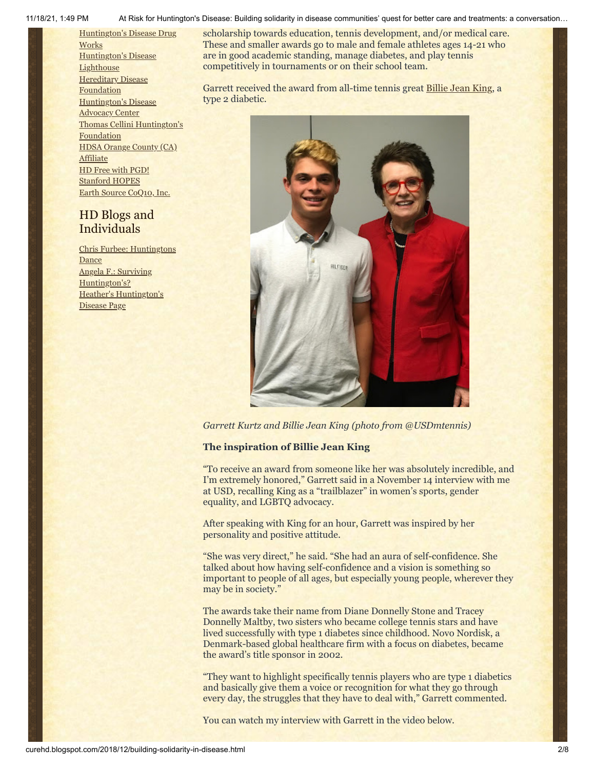[Huntington's](http://hddrugworks.org/) Disease Drug **Works** [Huntington's](http://www.hdlighthouse.org/) Disease **Lighthouse Hereditary Disease [Foundation](http://www.hdfoundation.org/)** [Huntington's](http://www.hdac.org/) Disease Advocacy Center Thomas [Cellini Huntington's](http://www.ourtchfoundation.org/) Foundation HDSA Orange County (CA) [Affiliate](http://www.hdsaoc.org/) HD Free with [PGD!](http://www.hdfreewithpgd.com/) [Stanford](http://www.stanford.edu/group/hopes/) HOPES Earth Source [CoQ10,](http://www.escoq10.com/) Inc.

# HD Blogs and Individuals

Chris Furbee: [Huntingtons](http://www.huntingtonsdance.org/) **Dance** Angela F.: Surviving [Huntington's?](http://survivinghuntingtons.blogspot.com/) Heather's [Huntington's](http://heatherdugdale.angelfire.com/) Disease Page



scholarship towards education, tennis development, and/or medical care. These and smaller awards go to male and female athletes ages 14-21 who

*Garrett Kurtz and Billie Jean King (photo from @USDmtennis)*

# **The inspiration of Billie Jean King**

"To receive an award from someone like her was absolutely incredible, and I'm extremely honored," Garrett said in a November 14 interview with me at USD, recalling King as a "trailblazer" in women's sports, gender equality, and LGBTQ advocacy.

After speaking with King for an hour, Garrett was inspired by her personality and positive attitude.

"She was very direct," he said. "She had an aura of self-confidence. She talked about how having self-confidence and a vision is something so important to people of all ages, but especially young people, wherever they may be in society."

The awards take their name from Diane Donnelly Stone and Tracey Donnelly Maltby, two sisters who became college tennis stars and have lived successfully with type 1 diabetes since childhood. Novo Nordisk, a Denmark-based global healthcare firm with a focus on diabetes, became the award's title sponsor in 2002.

"They want to highlight specifically tennis players who are type 1 diabetics and basically give them a voice or recognition for what they go through every day, the struggles that they have to deal with," Garrett commented.

You can watch my interview with Garrett in the video below.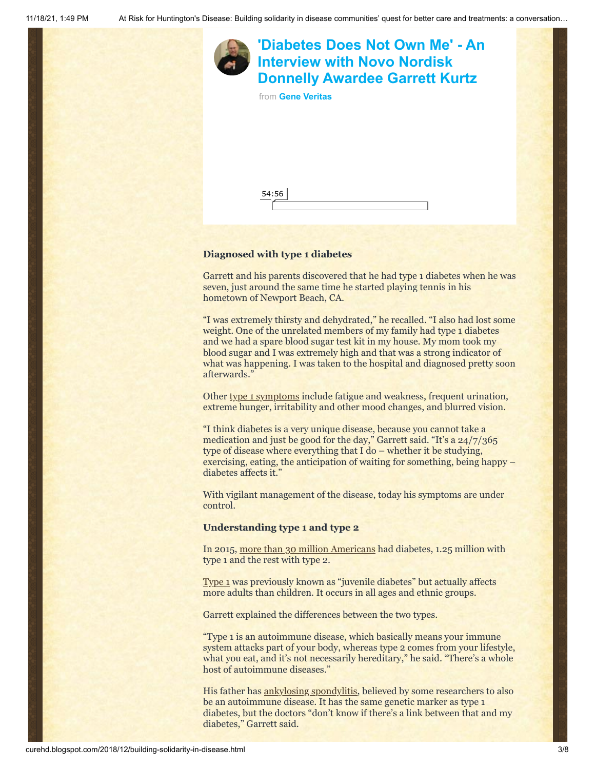

# **Diagnosed with type 1 diabetes**

54:56

Garrett and his parents discovered that he had type 1 diabetes when he was seven, just around the same time he started playing tennis in his hometown of Newport Beach, CA.

"I was extremely thirsty and dehydrated," he recalled. "I also had lost some weight. One of the unrelated members of my family had type 1 diabetes and we had a spare blood sugar test kit in my house. My mom took my blood sugar and I was extremely high and that was a strong indicator of what was happening. I was taken to the hospital and diagnosed pretty soon afterwards."

Other [type 1 symptoms](https://www.mayoclinic.org/diseases-conditions/type-1-diabetes/symptoms-causes/syc-20353011) include fatigue and weakness, frequent urination, extreme hunger, irritability and other mood changes, and blurred vision.

"I think diabetes is a very unique disease, because you cannot take a medication and just be good for the day," Garrett said. "It's a 24/7/365 type of disease where everything that I do – whether it be studying, exercising, eating, the anticipation of waiting for something, being happy – diabetes affects it."

With vigilant management of the disease, today his symptoms are under control.

#### **Understanding type 1 and type 2**

In 2015, [more than 30 million Americans](http://www.diabetes.org/diabetes-basics/statistics/) had diabetes, 1.25 million with type 1 and the rest with type 2.

[Type 1](http://www.diabetes.org/diabetes-basics/type-1/) was previously known as "juvenile diabetes" but actually affects more adults than children. It occurs in all ages and ethnic groups.

Garrett explained the differences between the two types.

"Type 1 is an autoimmune disease, which basically means your immune system attacks part of your body, whereas type 2 comes from your lifestyle, what you eat, and it's not necessarily hereditary," he said. "There's a whole host of autoimmune diseases."

His father has **ankylosing spondylitis**, believed by some researchers to also be an autoimmune disease. It has the same genetic marker as type 1 diabetes, but the doctors "don't know if there's a link between that and my diabetes," Garrett said.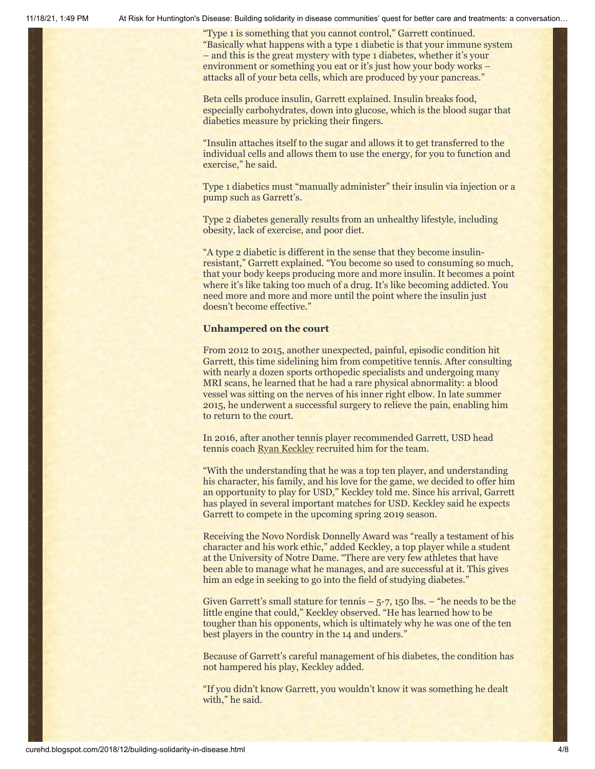"Type 1 is something that you cannot control," Garrett continued. "Basically what happens with a type 1 diabetic is that your immune system – and this is the great mystery with type 1 diabetes, whether it's your environment or something you eat or it's just how your body works – attacks all of your beta cells, which are produced by your pancreas."

Beta cells produce insulin, Garrett explained. Insulin breaks food, especially carbohydrates, down into glucose, which is the blood sugar that diabetics measure by pricking their fingers.

"Insulin attaches itself to the sugar and allows it to get transferred to the individual cells and allows them to use the energy, for you to function and exercise," he said.

Type 1 diabetics must "manually administer" their insulin via injection or a pump such as Garrett's.

Type 2 diabetes generally results from an unhealthy lifestyle, including obesity, lack of exercise, and poor diet.

"A type 2 diabetic is different in the sense that they become insulinresistant," Garrett explained. "You become so used to consuming so much, that your body keeps producing more and more insulin. It becomes a point where it's like taking too much of a drug. It's like becoming addicted. You need more and more and more until the point where the insulin just doesn't become effective."

# **Unhampered on the court**

From 2012 to 2015, another unexpected, painful, episodic condition hit Garrett, this time sidelining him from competitive tennis. After consulting with nearly a dozen sports orthopedic specialists and undergoing many MRI scans, he learned that he had a rare physical abnormality: a blood vessel was sitting on the nerves of his inner right elbow. In late summer 2015, he underwent a successful surgery to relieve the pain, enabling him to return to the court.

In 2016, after another tennis player recommended Garrett, USD head tennis coach [Ryan Keckley](https://usdtoreros.com/coaches.aspx?rc=41) recruited him for the team.

"With the understanding that he was a top ten player, and understanding his character, his family, and his love for the game, we decided to offer him an opportunity to play for USD," Keckley told me. Since his arrival, Garrett has played in several important matches for USD. Keckley said he expects Garrett to compete in the upcoming spring 2019 season.

Receiving the Novo Nordisk Donnelly Award was "really a testament of his character and his work ethic," added Keckley, a top player while a student at the University of Notre Dame. "There are very few athletes that have been able to manage what he manages, and are successful at it. This gives him an edge in seeking to go into the field of studying diabetes."

Given Garrett's small stature for tennis  $-5$ -7, 150 lbs.  $-$  "he needs to be the little engine that could," Keckley observed. "He has learned how to be tougher than his opponents, which is ultimately why he was one of the ten best players in the country in the 14 and unders."

Because of Garrett's careful management of his diabetes, the condition has not hampered his play, Keckley added.

"If you didn't know Garrett, you wouldn't know it was something he dealt with," he said.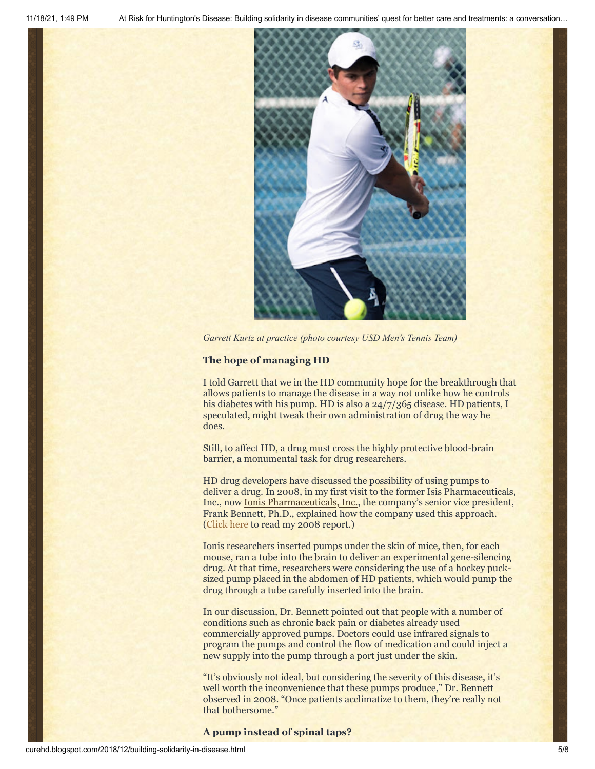

*Garrett Kurtz at practice (photo courtesy USD Men's Tennis Team)*

# **The hope of managing HD**

I told Garrett that we in the HD community hope for the breakthrough that allows patients to manage the disease in a way not unlike how he controls his diabetes with his pump. HD is also a 24/7/365 disease. HD patients, I speculated, might tweak their own administration of drug the way he does.

Still, to affect HD, a drug must cross the highly protective blood-brain barrier, a monumental task for drug researchers.

HD drug developers have discussed the possibility of using pumps to deliver a drug. In 2008, in my first visit to the former Isis Pharmaceuticals, Inc., now [Ionis Pharmaceuticals, Inc.](http://www.ionispharma.com/), the company's senior vice president, Frank Bennett, Ph.D., explained how the company used this approach. ([Click here](http://curehd.blogspot.com/2008/04/building-laser-guided-missile-to-attack.html) to read my 2008 report.)

Ionis researchers inserted pumps under the skin of mice, then, for each mouse, ran a tube into the brain to deliver an experimental gene-silencing drug. At that time, researchers were considering the use of a hockey pucksized pump placed in the abdomen of HD patients, which would pump the drug through a tube carefully inserted into the brain.

In our discussion, Dr. Bennett pointed out that people with a number of conditions such as chronic back pain or diabetes already used commercially approved pumps. Doctors could use infrared signals to program the pumps and control the flow of medication and could inject a new supply into the pump through a port just under the skin.

"It's obviously not ideal, but considering the severity of this disease, it's well worth the inconvenience that these pumps produce," Dr. Bennett observed in 2008. "Once patients acclimatize to them, they're really not that bothersome."

#### **A pump instead of spinal taps?**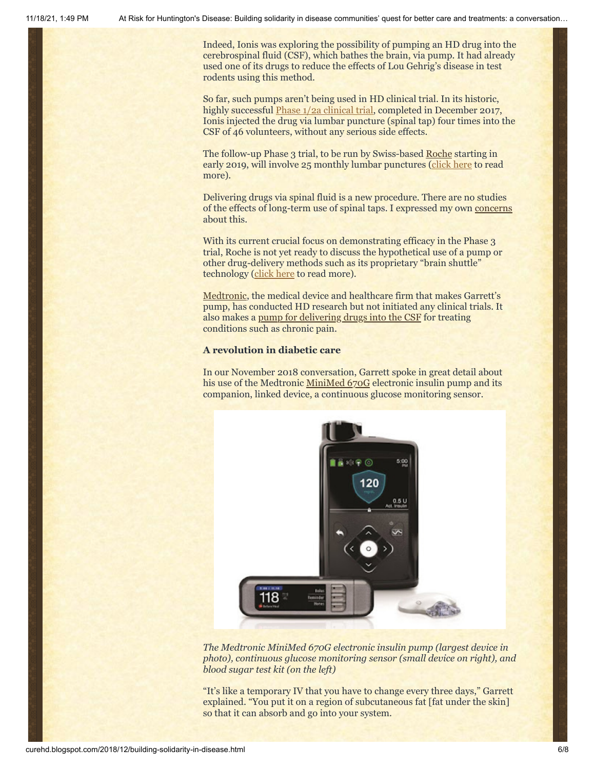Indeed, Ionis was exploring the possibility of pumping an HD drug into the cerebrospinal fluid (CSF), which bathes the brain, via pump. It had already used one of its drugs to reduce the effects of Lou Gehrig's disease in test rodents using this method.

So far, such pumps aren't being used in HD clinical trial. In its historic, highly successful *[Phase 1/2a clinical trial](http://curehd.blogspot.com/2018/03/ionis-phase-12a-clinical-trial-data.html)*, completed in December 2017, Ionis injected the drug via lumbar puncture (spinal tap) four times into the CSF of 46 volunteers, without any serious side effects.

The follow-up Phase 3 trial, to be run by Swiss-based [Roche](https://www.roche.com/) starting in early 2019, will involve 25 monthly lumbar punctures [\(click here](http://curehd.blogspot.com/2018/09/unpacking-generation-hd1-roche-phase-3.html) to read more).

Delivering drugs via spinal fluid is a new procedure. There are no studies of the effects of long-term use of spinal taps. I expressed my own [concerns](http://curehd.blogspot.com/2018/09/unpacking-generation-hd1-roche-phase-3.html]) about this.

With its current crucial focus on demonstrating efficacy in the Phase 3 trial, Roche is not yet ready to discuss the hypothetical use of a pump or other drug-delivery methods such as its proprietary "brain shuttle" technology ([click here](http://curehd.blogspot.com/2018/03/roche-gears-up-for-pivotal-phase-3.html) to read more).

[Medtronic](https://www.medtronic.com/us-en/index.html), the medical device and healthcare firm that makes Garrett's pump, has conducted HD research but not initiated any clinical trials. It also makes a [pump for delivering drugs into the CSF](https://www.medtronic.com/us-en/healthcare-professionals/products/neurological/drug-infusion-systems/synchromed-ii.html) for treating conditions such as chronic pain.

#### **A revolution in diabetic care**

In our November 2018 conversation, Garrett spoke in great detail about his use of the Medtronic [MiniMed 670G](https://www.medtronicdiabetes.com/products/minimed-670g-insulin-pump-system) electronic insulin pump and its companion, linked device, a continuous glucose monitoring sensor.



*The Medtronic MiniMed 670G electronic insulin pump (largest device in photo), continuous glucose monitoring sensor (small device on right), and blood sugar test kit (on the left)*

"It's like a temporary IV that you have to change every three days," Garrett explained. "You put it on a region of subcutaneous fat [fat under the skin] so that it can absorb and go into your system.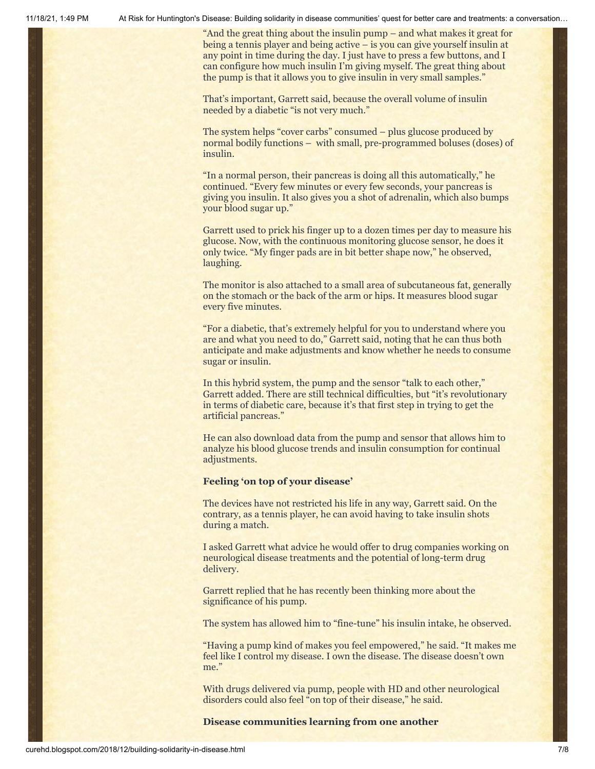"And the great thing about the insulin pump – and what makes it great for being a tennis player and being active – is you can give yourself insulin at any point in time during the day. I just have to press a few buttons, and I can configure how much insulin I'm giving myself. The great thing about the pump is that it allows you to give insulin in very small samples."

That's important, Garrett said, because the overall volume of insulin needed by a diabetic "is not very much."

The system helps "cover carbs" consumed – plus glucose produced by normal bodily functions – with small, pre-programmed boluses (doses) of insulin.

"In a normal person, their pancreas is doing all this automatically," he continued. "Every few minutes or every few seconds, your pancreas is giving you insulin. It also gives you a shot of adrenalin, which also bumps your blood sugar up."

Garrett used to prick his finger up to a dozen times per day to measure his glucose. Now, with the continuous monitoring glucose sensor, he does it only twice. "My finger pads are in bit better shape now," he observed, laughing.

The monitor is also attached to a small area of subcutaneous fat, generally on the stomach or the back of the arm or hips. It measures blood sugar every five minutes.

"For a diabetic, that's extremely helpful for you to understand where you are and what you need to do," Garrett said, noting that he can thus both anticipate and make adjustments and know whether he needs to consume sugar or insulin.

In this hybrid system, the pump and the sensor "talk to each other," Garrett added. There are still technical difficulties, but "it's revolutionary in terms of diabetic care, because it's that first step in trying to get the artificial pancreas."

He can also download data from the pump and sensor that allows him to analyze his blood glucose trends and insulin consumption for continual adjustments.

# **Feeling 'on top of your disease'**

The devices have not restricted his life in any way, Garrett said. On the contrary, as a tennis player, he can avoid having to take insulin shots during a match.

I asked Garrett what advice he would offer to drug companies working on neurological disease treatments and the potential of long-term drug delivery.

Garrett replied that he has recently been thinking more about the significance of his pump.

The system has allowed him to "fine-tune" his insulin intake, he observed.

"Having a pump kind of makes you feel empowered," he said. "It makes me feel like I control my disease. I own the disease. The disease doesn't own me."

With drugs delivered via pump, people with HD and other neurological disorders could also feel "on top of their disease," he said.

# **Disease communities learning from one another**